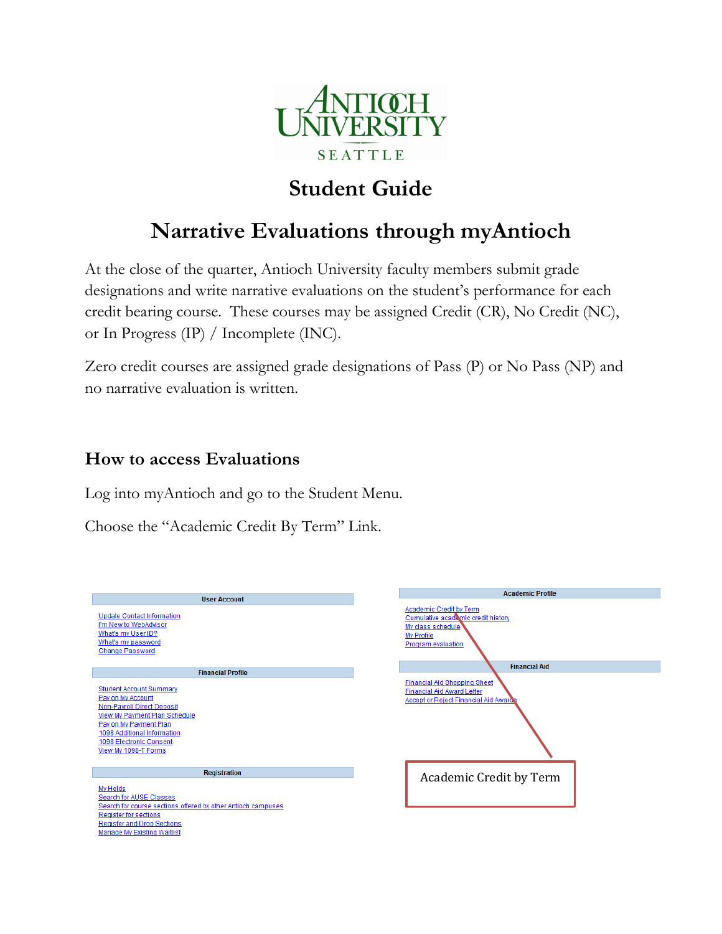

# **Student Guide**

## **Narrative Evaluations through myAntioch**

At the close of the quarter, Antioch University faculty members submit grade designations and write narrative evaluations on the student's performance for each credit bearing course. These courses may be assigned Credit (CR), No Credit (NC), or In Progress (IP) / Incomplete (INC).

Zero credit courses are assigned grade designations of Pass (P) or No Pass (NP) and no narrative evaluation is written.

### **How to access Evaluations**

Log into myAntioch and go to the Student Menu.

Choose the "Academic Credit By Term" Link.

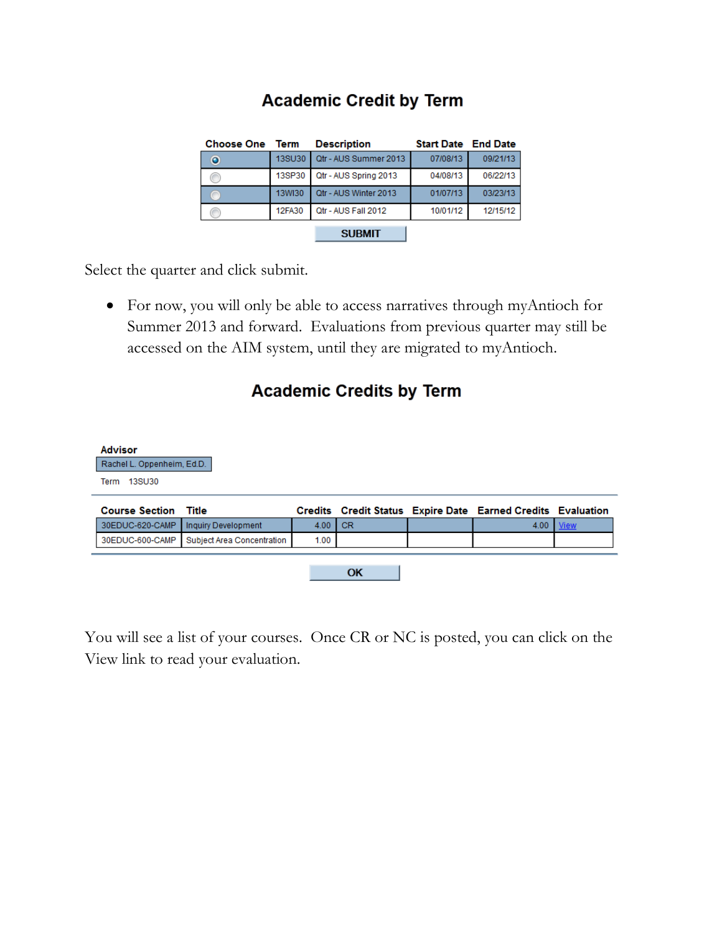## **Academic Credit by Term**

| <b>Choose One</b> Term |               | <b>Description</b>    | <b>Start Date End Date</b> |          |  |
|------------------------|---------------|-----------------------|----------------------------|----------|--|
| $\bullet$              | <b>13SU30</b> | Qtr - AUS Summer 2013 | 07/08/13                   | 09/21/13 |  |
|                        | 13SP30        | Qtr - AUS Spring 2013 | 04/08/13                   | 06/22/13 |  |
|                        | <b>13WI30</b> | Qtr - AUS Winter 2013 | 01/07/13                   | 03/23/13 |  |
|                        | <b>12FA30</b> | Qtr - AUS Fall 2012   | 10/01/12                   | 12/15/12 |  |
|                        |               | <b>SUBMIT</b>         |                            |          |  |

Select the quarter and click submit.

 For now, you will only be able to access narratives through myAntioch for Summer 2013 and forward. Evaluations from previous quarter may still be accessed on the AIM system, until they are migrated to myAntioch.

### **Academic Credits by Term**

| <b>Advisor</b><br>Rachel L. Oppenheim, Ed.D.<br>13SU30<br>Term |                            |      |           |                                                             |             |
|----------------------------------------------------------------|----------------------------|------|-----------|-------------------------------------------------------------|-------------|
| <b>Course Section Title</b>                                    |                            |      |           | Credits Credit Status Expire Date Earned Credits Evaluation |             |
| 30EDUC-620-CAMP                                                | Inquiry Development        | 4.00 | <b>CR</b> | 4.00                                                        | <b>View</b> |
| 30EDUC-600-CAMP                                                | Subject Area Concentration | 1.00 |           |                                                             |             |

You will see a list of your courses. Once CR or NC is posted, you can click on the View link to read your evaluation.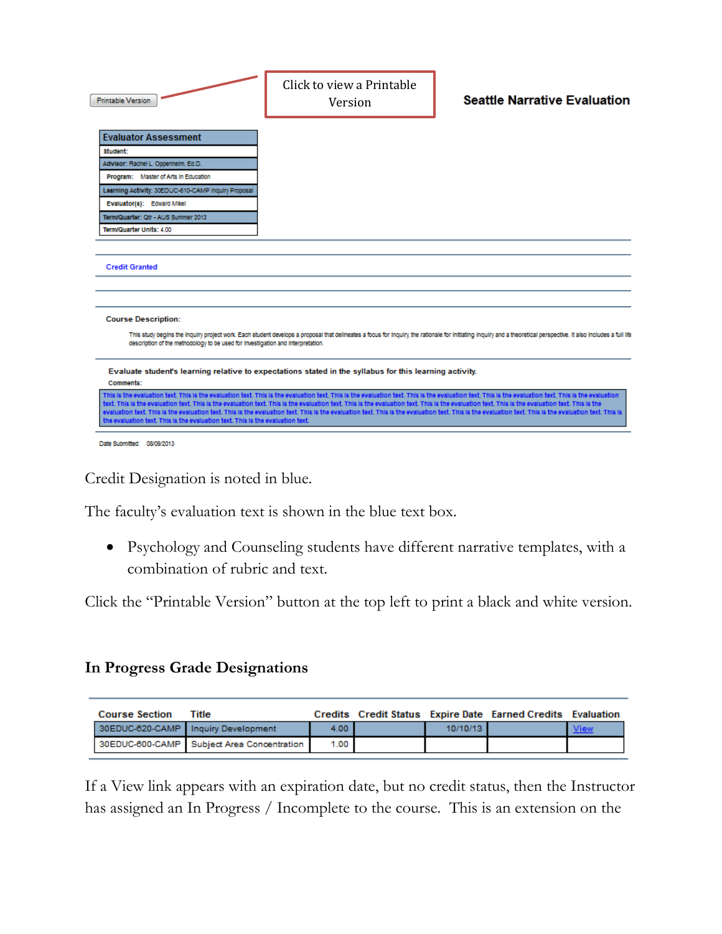| <b>Printable Version</b>                                                                                      | Click to view a Printable<br>Version                                                                                                                                                                                         | <b>Seattle Narrative Evaluation</b>                                                                                                                                                                                                                                                                                                                                                                                                 |
|---------------------------------------------------------------------------------------------------------------|------------------------------------------------------------------------------------------------------------------------------------------------------------------------------------------------------------------------------|-------------------------------------------------------------------------------------------------------------------------------------------------------------------------------------------------------------------------------------------------------------------------------------------------------------------------------------------------------------------------------------------------------------------------------------|
| <b>Evaluator Assessment</b><br>student:                                                                       |                                                                                                                                                                                                                              |                                                                                                                                                                                                                                                                                                                                                                                                                                     |
| Advisor: Rachel L. Oppenheim, Ed.D.                                                                           |                                                                                                                                                                                                                              |                                                                                                                                                                                                                                                                                                                                                                                                                                     |
| Program: Master of Arts in Education                                                                          |                                                                                                                                                                                                                              |                                                                                                                                                                                                                                                                                                                                                                                                                                     |
| Learning Activity: 30EDUC-610-CAMP Inquiry Proposal                                                           |                                                                                                                                                                                                                              |                                                                                                                                                                                                                                                                                                                                                                                                                                     |
| Evaluator(s): Edward Mikel                                                                                    |                                                                                                                                                                                                                              |                                                                                                                                                                                                                                                                                                                                                                                                                                     |
| Term/Quarter: Otr - AUS Summer 2013                                                                           |                                                                                                                                                                                                                              |                                                                                                                                                                                                                                                                                                                                                                                                                                     |
| Term/Quarter Units: 4.00                                                                                      |                                                                                                                                                                                                                              |                                                                                                                                                                                                                                                                                                                                                                                                                                     |
| <b>Credit Granted</b>                                                                                         |                                                                                                                                                                                                                              |                                                                                                                                                                                                                                                                                                                                                                                                                                     |
| <b>Course Description:</b><br>description of the methodology to be used for investigation and interpretation. |                                                                                                                                                                                                                              | This study begins the inquiry project work. Each student develops a proposal that delineates a focus for inquiry, the rationale for initiating inquiry and a theoretical perspective. It also includes a full life                                                                                                                                                                                                                  |
| Comments:                                                                                                     | Evaluate student's learning relative to expectations stated in the syllabus for this learning activity.                                                                                                                      |                                                                                                                                                                                                                                                                                                                                                                                                                                     |
| the evaluation text. This is the evaluation text. This is the evaluation text.                                | text. This is the evaluation text. This is the evaluation text. This is the evaluation text. This is the evaluation text. This is the evaluation text. This is the evaluation text. This is the evaluation text. This is the | This is the evaluation text. This is the evaluation text. This is the evaluation text. This is the evaluation text. This is the evaluation text. This is the evaluation text. This is the evaluation<br>evaluation text. This is the evaluation text. This is the evaluation text. This is the evaluation text. This is the evaluation text. This is the evaluation text. This is the evaluation text. This is the evaluation text. |
| Date Submitted: 08/09/2013                                                                                    |                                                                                                                                                                                                                              |                                                                                                                                                                                                                                                                                                                                                                                                                                     |

Credit Designation is noted in blue.

The faculty's evaluation text is shown in the blue text box.

 Psychology and Counseling students have different narrative templates, with a combination of rubric and text.

Click the "Printable Version" button at the top left to print a black and white version.

#### **In Progress Grade Designations**

| <b>Course Section</b> | Title                                      |          |          | Credits Credit Status Expire Date Earned Credits Evaluation |             |
|-----------------------|--------------------------------------------|----------|----------|-------------------------------------------------------------|-------------|
|                       | 30EDUC-620-CAMP Inquiry Development        | $4.00 -$ | 10/10/13 |                                                             | <b>View</b> |
|                       | 30EDUC-600-CAMP Subject Area Concentration | $1.00 -$ |          |                                                             |             |

If a View link appears with an expiration date, but no credit status, then the Instructor has assigned an In Progress / Incomplete to the course. This is an extension on the